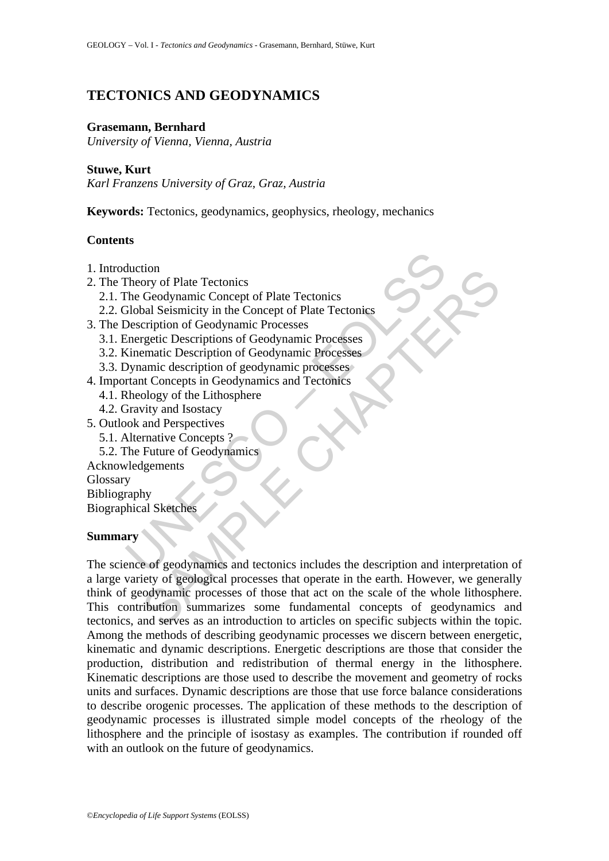# **TECTONICS AND GEODYNAMICS**

### **Grasemann, Bernhard**

*University of Vienna, Vienna, Austria* 

### **Stuwe, Kurt**

*Karl Franzens University of Graz, Graz, Austria* 

**Keywords:** Tectonics, geodynamics, geophysics, rheology, mechanics

### **Contents**

- 1. Introduction
- 2. The Theory of Plate Tectonics
	- 2.1. The Geodynamic Concept of Plate Tectonics
	- 2.2. Global Seismicity in the Concept of Plate Tectonics
- 3. The Description of Geodynamic Processes
	- 3.1. Energetic Descriptions of Geodynamic Processes
	- 3.2. Kinematic Description of Geodynamic Processes
	- 3.3. Dynamic description of geodynamic processes
- 4. Important Concepts in Geodynamics and Tectonics
	- 4.1. Rheology of the Lithosphere
	- 4.2. Gravity and Isostacy
- 5. Outlook and Perspectives
	- 5.1. Alternative Concepts ?
	- 5.2. The Future of Geodynamics
- Acknowledgements Glossary Bibliography Biographical Sketches

### **Summary**

duction<br>
Theory of Plate Tectonics<br>
The Geodynamic Concept of Plate Tectonics<br>
Slobal Seismicity in the Concept of Plate Tectonics<br>
Description of Geodynamic Processes<br>
Simematic Description of Geodynamic Processes<br>
Simmat tom<br>
ory of Plate Tectonics<br>
Geodynamic Concept of Plate Tectonics<br>
Ceodynamic Concept of Plate Tectonics<br>
ceription of Geodynamic Processes<br>
ergetic Descriptions of Geodynamic Processes<br>
manic description of geodynamic pr The science of geodynamics and tectonics includes the description and interpretation of a large variety of geological processes that operate in the earth. However, we generally think of geodynamic processes of those that act on the scale of the whole lithosphere. This contribution summarizes some fundamental concepts of geodynamics and tectonics, and serves as an introduction to articles on specific subjects within the topic. Among the methods of describing geodynamic processes we discern between energetic, kinematic and dynamic descriptions. Energetic descriptions are those that consider the production, distribution and redistribution of thermal energy in the lithosphere. Kinematic descriptions are those used to describe the movement and geometry of rocks units and surfaces. Dynamic descriptions are those that use force balance considerations to describe orogenic processes. The application of these methods to the description of geodynamic processes is illustrated simple model concepts of the rheology of the lithosphere and the principle of isostasy as examples. The contribution if rounded off with an outlook on the future of geodynamics.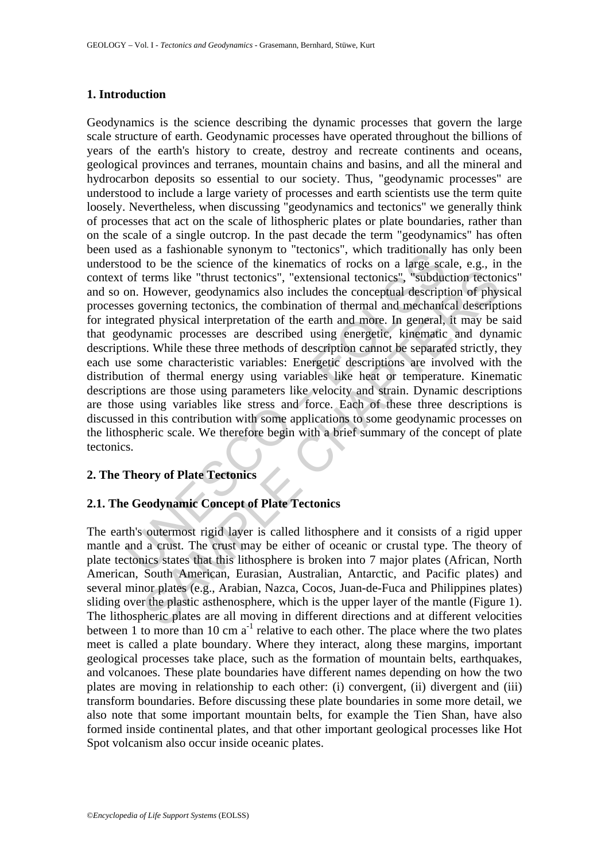### **1. Introduction**

eu as a tantinuante symbory to tectomes, when tratinuationary<br>cood to be he science of the kinematics of rocks on a large scan of terms like "thrust tectonics", "extensional tectonics", "subduon. However, geodynamics also terms like "thrust tectonics", "extensional tectonics", "subduction tector<br>terms like "thrust tectonics", "extensional tectonics", "subduction tector<br>dyovering tectonics, the combination of thermal and mechanical descripti Geodynamics is the science describing the dynamic processes that govern the large scale structure of earth. Geodynamic processes have operated throughout the billions of years of the earth's history to create, destroy and recreate continents and oceans, geological provinces and terranes, mountain chains and basins, and all the mineral and hydrocarbon deposits so essential to our society. Thus, "geodynamic processes" are understood to include a large variety of processes and earth scientists use the term quite loosely. Nevertheless, when discussing "geodynamics and tectonics" we generally think of processes that act on the scale of lithospheric plates or plate boundaries, rather than on the scale of a single outcrop. In the past decade the term "geodynamics" has often been used as a fashionable synonym to "tectonics", which traditionally has only been understood to be the science of the kinematics of rocks on a large scale, e.g., in the context of terms like "thrust tectonics", "extensional tectonics", "subduction tectonics" and so on. However, geodynamics also includes the conceptual description of physical processes governing tectonics, the combination of thermal and mechanical descriptions for integrated physical interpretation of the earth and more. In general, it may be said that geodynamic processes are described using energetic, kinematic and dynamic descriptions. While these three methods of description cannot be separated strictly, they each use some characteristic variables: Energetic descriptions are involved with the distribution of thermal energy using variables like heat or temperature. Kinematic descriptions are those using parameters like velocity and strain. Dynamic descriptions are those using variables like stress and force. Each of these three descriptions is discussed in this contribution with some applications to some geodynamic processes on the lithospheric scale. We therefore begin with a brief summary of the concept of plate tectonics.

### **2. The Theory of Plate Tectonics**

### **2.1. The Geodynamic Concept of Plate Tectonics**

The earth's outermost rigid layer is called lithosphere and it consists of a rigid upper mantle and a crust. The crust may be either of oceanic or crustal type. The theory of plate tectonics states that this lithosphere is broken into 7 major plates (African, North American, South American, Eurasian, Australian, Antarctic, and Pacific plates) and several minor plates (e.g., Arabian, Nazca, Cocos, Juan-de-Fuca and Philippines plates) sliding over the plastic asthenosphere, which is the upper layer of the mantle (Figure 1). The lithospheric plates are all moving in different directions and at different velocities between 1 to more than 10 cm  $a^{-1}$  relative to each other. The place where the two plates meet is called a plate boundary. Where they interact, along these margins, important geological processes take place, such as the formation of mountain belts, earthquakes, and volcanoes. These plate boundaries have different names depending on how the two plates are moving in relationship to each other: (i) convergent, (ii) divergent and (iii) transform boundaries. Before discussing these plate boundaries in some more detail, we also note that some important mountain belts, for example the Tien Shan, have also formed inside continental plates, and that other important geological processes like Hot Spot volcanism also occur inside oceanic plates.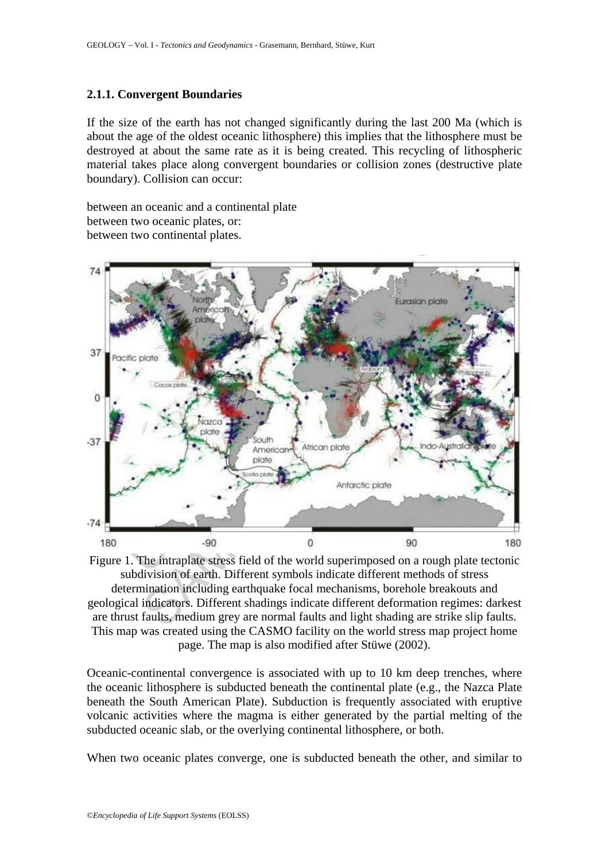### **2.1.1. Convergent Boundaries**

If the size of the earth has not changed significantly during the last 200 Ma (which is about the age of the oldest oceanic lithosphere) this implies that the lithosphere must be destroyed at about the same rate as it is being created. This recycling of lithospheric material takes place along convergent boundaries or collision zones (destructive plate boundary). Collision can occur:

between an oceanic and a continental plate between two oceanic plates, or: between two continental plates.



Figure 1. The intraplate stress field of the world superimposed on a rough plate tectonic subdivision of earth. Different symbols indicate different methods of stress determination including earthquake focal mechanisms, borehole breakouts and geological indicators. Different shadings indicate different deformation regimes: darkest are thrust faults, medium grey are normal faults and light shading are strike slip faults. This map was created using the CASMO facility on the world stress map project home page. The map is also modified after Stüwe (2002).

Oceanic-continental convergence is associated with up to 10 km deep trenches, where the oceanic lithosphere is subducted beneath the continental plate (e.g., the Nazca Plate beneath the South American Plate). Subduction is frequently associated with eruptive volcanic activities where the magma is either generated by the partial melting of the subducted oceanic slab, or the overlying continental lithosphere, or both.

When two oceanic plates converge, one is subducted beneath the other, and similar to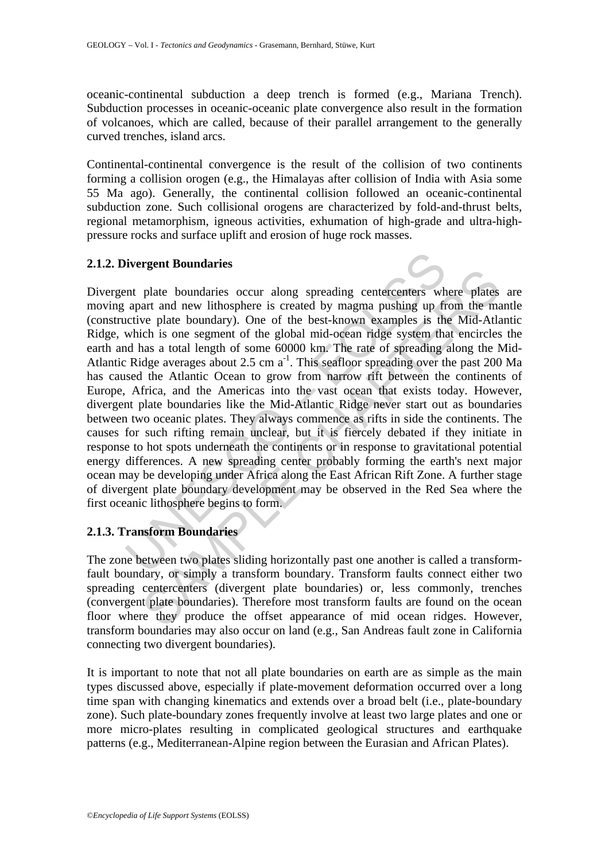oceanic-continental subduction a deep trench is formed (e.g., Mariana Trench). Subduction processes in oceanic-oceanic plate convergence also result in the formation of volcanoes, which are called, because of their parallel arrangement to the generally curved trenches, island arcs.

Continental-continental convergence is the result of the collision of two continents forming a collision orogen (e.g., the Himalayas after collision of India with Asia some 55 Ma ago). Generally, the continental collision followed an oceanic-continental subduction zone. Such collisional orogens are characterized by fold-and-thrust belts, regional metamorphism, igneous activities, exhumation of high-grade and ultra-highpressure rocks and surface uplift and erosion of huge rock masses.

## **2.1.2. Divergent Boundaries**

divergent Boundaries<br>
the plate boundaries<br>
the plate boundaries occur along spreading centercenters wh<br>
apart and new lithosphere is created by magma pushing up fr<br>
trive plate boundary). One of the best-known examples i plate boundaries occur along spreading centercenters where plates<br>plate boundaries occur along spreading centercenters where plates<br>we plate boundary). One of the best-known examples is the Mid-Atla<br>ch is one segment of th Divergent plate boundaries occur along spreading centercenters where plates are moving apart and new lithosphere is created by magma pushing up from the mantle (constructive plate boundary). One of the best-known examples is the Mid-Atlantic Ridge, which is one segment of the global mid-ocean ridge system that encircles the earth and has a total length of some 60000 km. The rate of spreading along the Mid-Atlantic Ridge averages about 2.5 cm a<sup>-1</sup>. This seafloor spreading over the past 200 Ma has caused the Atlantic Ocean to grow from narrow rift between the continents of Europe, Africa, and the Americas into the vast ocean that exists today. However, divergent plate boundaries like the Mid-Atlantic Ridge never start out as boundaries between two oceanic plates. They always commence as rifts in side the continents. The causes for such rifting remain unclear, but it is fiercely debated if they initiate in response to hot spots underneath the continents or in response to gravitational potential energy differences. A new spreading center probably forming the earth's next major ocean may be developing under Africa along the East African Rift Zone. A further stage of divergent plate boundary development may be observed in the Red Sea where the first oceanic lithosphere begins to form.

## **2.1.3. Transform Boundaries**

The zone between two plates sliding horizontally past one another is called a transformfault boundary, or simply a transform boundary. Transform faults connect either two spreading centercenters (divergent plate boundaries) or, less commonly, trenches (convergent plate boundaries). Therefore most transform faults are found on the ocean floor where they produce the offset appearance of mid ocean ridges. However, transform boundaries may also occur on land (e.g., San Andreas fault zone in California connecting two divergent boundaries).

It is important to note that not all plate boundaries on earth are as simple as the main types discussed above, especially if plate-movement deformation occurred over a long time span with changing kinematics and extends over a broad belt (i.e., plate-boundary zone). Such plate-boundary zones frequently involve at least two large plates and one or more micro-plates resulting in complicated geological structures and earthquake patterns (e.g., Mediterranean-Alpine region between the Eurasian and African Plates).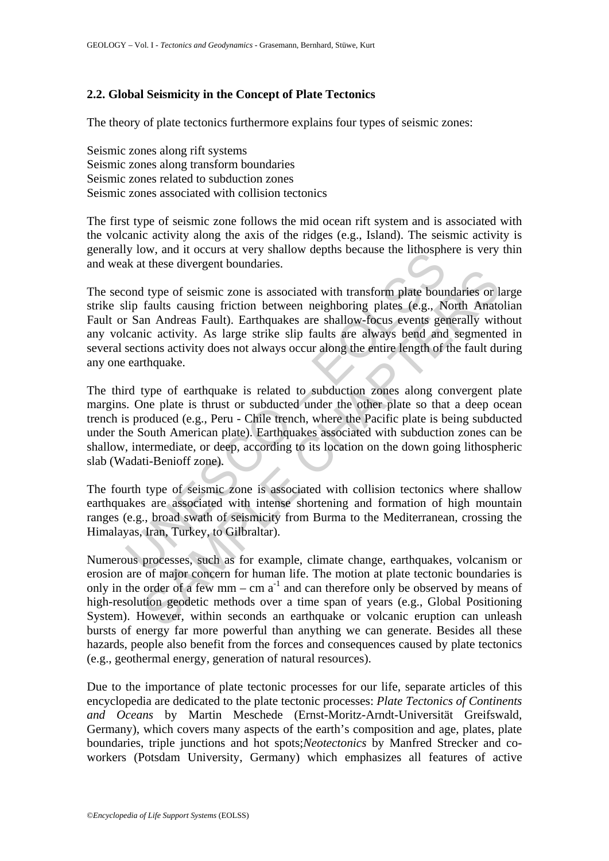## **2.2. Global Seismicity in the Concept of Plate Tectonics**

The theory of plate tectonics furthermore explains four types of seismic zones:

Seismic zones along rift systems Seismic zones along transform boundaries Seismic zones related to subduction zones Seismic zones associated with collision tectonics

The first type of seismic zone follows the mid ocean rift system and is associated with the volcanic activity along the axis of the ridges (e.g., Island). The seismic activity is generally low, and it occurs at very shallow depths because the lithosphere is very thin and weak at these divergent boundaries.

The second type of seismic zone is associated with transform plate boundaries or large strike slip faults causing friction between neighboring plates (e.g., North Anatolian Fault or San Andreas Fault). Earthquakes are shallow-focus events generally without any volcanic activity. As large strike slip faults are always bend and segmented in several sections activity does not always occur along the entire length of the fault during any one earthquake.

is these diverses are very simulate velocity standards and the multiplement was the selection of type of seismic zone is associated with transform plate bour<br>lip faults causing friction between neighboring plates (e.g., N<br> If the same is associated with transform plate boundaries or 1<br>faults causing friction between neighboring plates (e.g., North Anata<br>an Andreas Fault). Earthquakes are shallow-focus events generally with<br>ic activity. As l The third type of earthquake is related to subduction zones along convergent plate margins. One plate is thrust or subducted under the other plate so that a deep ocean trench is produced (e.g., Peru - Chile trench, where the Pacific plate is being subducted under the South American plate). Earthquakes associated with subduction zones can be shallow, intermediate, or deep, according to its location on the down going lithospheric slab (Wadati-Benioff zone).

The fourth type of seismic zone is associated with collision tectonics where shallow earthquakes are associated with intense shortening and formation of high mountain ranges (e.g., broad swath of seismicity from Burma to the Mediterranean, crossing the Himalayas, Iran, Turkey, to Gilbraltar).

Numerous processes, such as for example, climate change, earthquakes, volcanism or erosion are of major concern for human life. The motion at plate tectonic boundaries is only in the order of a few mm – cm  $a^{-1}$  and can therefore only be observed by means of high-resolution geodetic methods over a time span of years (e.g., Global Positioning System). However, within seconds an earthquake or volcanic eruption can unleash bursts of energy far more powerful than anything we can generate. Besides all these hazards, people also benefit from the forces and consequences caused by plate tectonics (e.g., geothermal energy, generation of natural resources).

Due to the importance of plate tectonic processes for our life, separate articles of this encyclopedia are dedicated to the plate tectonic processes: *Plate Tectonics of Continents and Oceans* by Martin Meschede (Ernst-Moritz-Arndt-Universität Greifswald, Germany), which covers many aspects of the earth's composition and age, plates, plate boundaries, triple junctions and hot spots;*Neotectonics* by Manfred Strecker and coworkers (Potsdam University, Germany) which emphasizes all features of active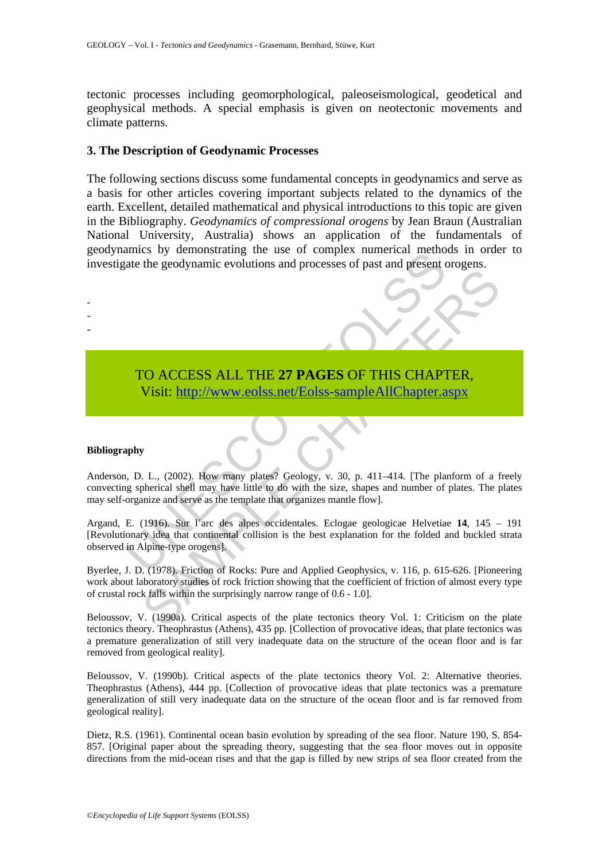tectonic processes including geomorphological, paleoseismological, geodetical and geophysical methods. A special emphasis is given on neotectonic movements and climate patterns.

#### **3. The Description of Geodynamic Processes**

The following sections discuss some fundamental concepts in geodynamics and serve as a basis for other articles covering important subjects related to the dynamics of the earth. Excellent, detailed mathematical and physical introductions to this topic are given in the Bibliography. *Geodynamics of compressional orogens* by Jean Braun (Australian National University, Australia) shows an application of the fundamentals of geodynamics by demonstrating the use of complex numerical methods in order to investigate the geodynamic evolutions and processes of past and present orogens.



#### **Bibliography**

- - -

Anderson, D. L., (2002). How many plates? Geology, v. 30, p. 411–414. [The planform of a freely convecting spherical shell may have little to do with the size, shapes and number of plates. The plates may self-organize and serve as the template that organizes mantle flow].

The godynamic evolutions and processes of past and present can<br>ate the geodynamic evolutions and processes of past and present c<br>ate the geodynamic evolutions and processes of past and present c<br>TO ACCESS ALL THE 27 PAGES The CH[AP](https://www.eolss.net/ebooklib/sc_cart.aspx?File=E6-15-02)TER CHAPTER CHAPTER CHAPTER CHAPTER (Visit: http://www.colss.net/Eolss-sampleAllChapter.aspx<br>
Visit: http://www.colss.net/Eolss-sampleAllChapter.aspx<br>
y<br>
y<br>
y<br>
y<br>
y<br>
dia that continental collision is the baix, shap Argand, E. (1916). Sur l´arc des alpes occidentales. Eclogae geologicae Helvetiae **14**, 145 – 191 [Revolutionary idea that continental collision is the best explanation for the folded and buckled strata observed in Alpine-type orogens].

Byerlee, J. D. (1978). Friction of Rocks: Pure and Applied Geophysics, v. 116, p. 615-626. [Pioneering work about laboratory studies of rock friction showing that the coefficient of friction of almost every type of crustal rock falls within the surprisingly narrow range of 0.6 - 1.0].

Beloussov, V. (1990a). Critical aspects of the plate tectonics theory Vol. 1: Criticism on the plate tectonics theory. Theophrastus (Athens), 435 pp. [Collection of provocative ideas, that plate tectonics was a premature generalization of still very inadequate data on the structure of the ocean floor and is far removed from geological reality].

Beloussov, V. (1990b). Critical aspects of the plate tectonics theory Vol. 2: Alternative theories. Theophrastus (Athens), 444 pp. [Collection of provocative ideas that plate tectonics was a premature generalization of still very inadequate data on the structure of the ocean floor and is far removed from geological reality].

Dietz, R.S. (1961). Continental ocean basin evolution by spreading of the sea floor. Nature 190, S. 854- 857. [Original paper about the spreading theory, suggesting that the sea floor moves out in opposite directions from the mid-ocean rises and that the gap is filled by new strips of sea floor created from the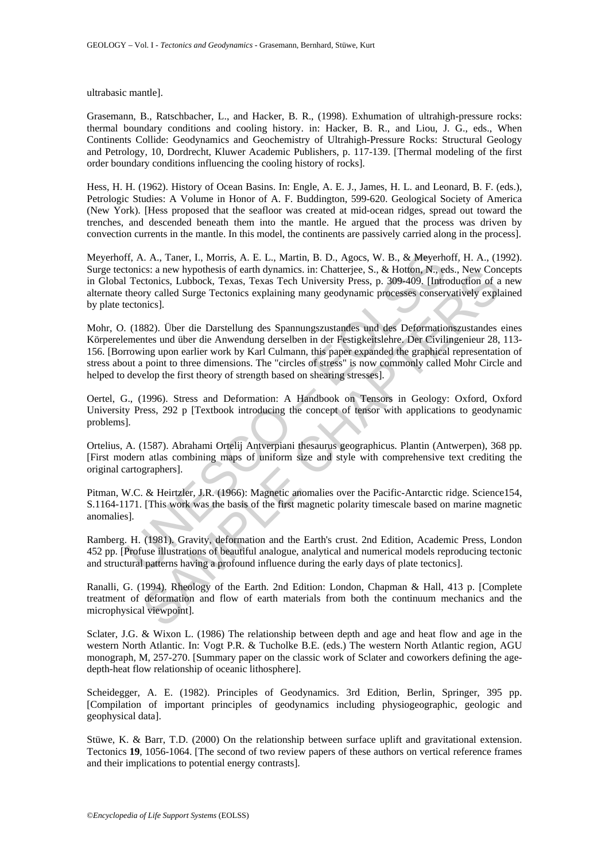ultrabasic mantle].

Grasemann, B., Ratschbacher, L., and Hacker, B. R., (1998). Exhumation of ultrahigh-pressure rocks: thermal boundary conditions and cooling history. in: Hacker, B. R., and Liou, J. G., eds., When Continents Collide: Geodynamics and Geochemistry of Ultrahigh-Pressure Rocks: Structural Geology and Petrology, 10, Dordrecht, Kluwer Academic Publishers, p. 117-139. [Thermal modeling of the first order boundary conditions influencing the cooling history of rocks].

Hess, H. H. (1962). History of Ocean Basins. In: Engle, A. E. J., James, H. L. and Leonard, B. F. (eds.), Petrologic Studies: A Volume in Honor of A. F. Buddington, 599-620. Geological Society of America (New York). [Hess proposed that the seafloor was created at mid-ocean ridges, spread out toward the trenches, and descended beneath them into the mantle. He argued that the process was driven by convection currents in the mantle. In this model, the continents are passively carried along in the process].

If, A. A., Taner, I., Morris, A. E. L., Martin, B. D., Agocs, W. B., & Meyerhtonics: a new hypothesis of earth dynamics. in: Chatterjee, S., & Hoton, N., eclosics, Textonics, Textos, Textos, Textos Tech University Press, p Meyerhoff, A. A., Taner, I., Morris, A. E. L., Martin, B. D., Agocs, W. B., & Meyerhoff, H. A., (1992). Surge tectonics: a new hypothesis of earth dynamics. in: Chatterjee, S., & Hotton, N., eds., New Concepts in Global Tectonics, Lubbock, Texas, Texas Tech University Press, p. 309-409. [Introduction of a new alternate theory called Surge Tectonics explaining many geodynamic processes conservatively explained by plate tectonics].

es: a new hypothesio of earth dynamics. in: Chatterpee, S., & Holton, N., eds., New Concies, Lubbock, Texas, Texas Tech University Press, p. 309-409, [Inroduction of a<br>trenties, Lubbock, Texas, Texas Tech University Press, Mohr, O. (1882). Über die Darstellung des Spannungszustandes und des Deformationszustandes eines Körperelementes und über die Anwendung derselben in der Festigkeitslehre. Der Civilingenieur 28, 113- 156. [Borrowing upon earlier work by Karl Culmann, this paper expanded the graphical representation of stress about a point to three dimensions. The "circles of stress" is now commonly called Mohr Circle and helped to develop the first theory of strength based on shearing stresses].

Oertel, G., (1996). Stress and Deformation: A Handbook on Tensors in Geology: Oxford, Oxford University Press, 292 p [Textbook introducing the concept of tensor with applications to geodynamic problems].

Ortelius, A. (1587). Abrahami Ortelij Antverpiani thesaurus geographicus. Plantin (Antwerpen), 368 pp. [First modern atlas combining maps of uniform size and style with comprehensive text crediting the original cartographers].

Pitman, W.C. & Heirtzler, J.R. (1966): Magnetic anomalies over the Pacific-Antarctic ridge. Science154, S.1164-1171. [This work was the basis of the first magnetic polarity timescale based on marine magnetic anomalies].

Ramberg. H. (1981). Gravity, deformation and the Earth's crust. 2nd Edition, Academic Press, London 452 pp. [Profuse illustrations of beautiful analogue, analytical and numerical models reproducing tectonic and structural patterns having a profound influence during the early days of plate tectonics].

Ranalli, G. (1994). Rheology of the Earth. 2nd Edition: London, Chapman & Hall, 413 p. [Complete treatment of deformation and flow of earth materials from both the continuum mechanics and the microphysical viewpoint].

Sclater, J.G. & Wixon L. (1986) The relationship between depth and age and heat flow and age in the western North Atlantic. In: Vogt P.R. & Tucholke B.E. (eds.) The western North Atlantic region, AGU monograph, M, 257-270. [Summary paper on the classic work of Sclater and coworkers defining the agedepth-heat flow relationship of oceanic lithosphere].

Scheidegger, A. E. (1982). Principles of Geodynamics. 3rd Edition, Berlin, Springer, 395 pp. [Compilation of important principles of geodynamics including physiogeographic, geologic and geophysical data].

Stüwe, K. & Barr, T.D. (2000) On the relationship between surface uplift and gravitational extension. Tectonics **19**, 1056-1064. [The second of two review papers of these authors on vertical reference frames and their implications to potential energy contrasts].